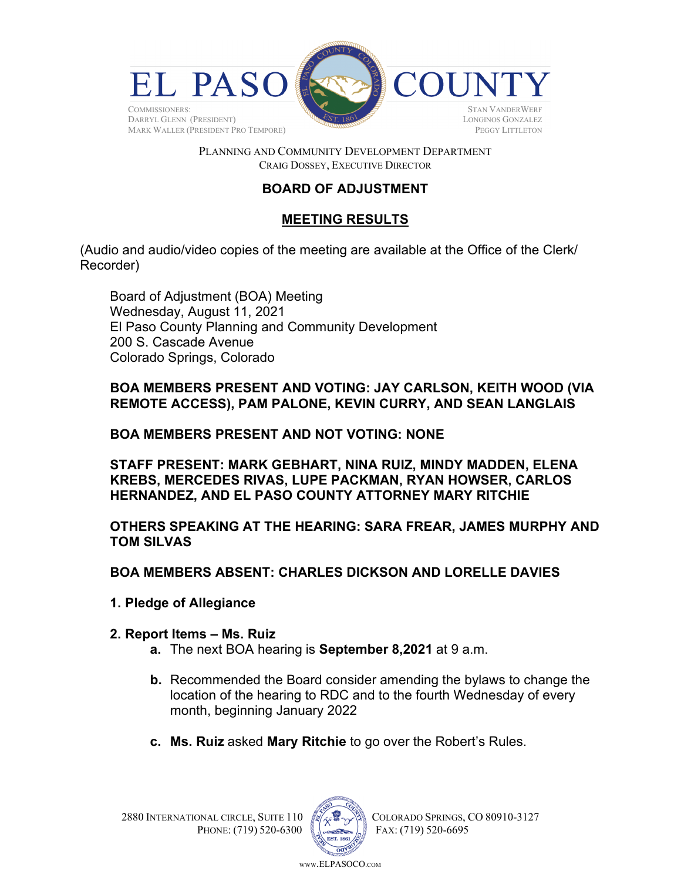

### PLANNING AND COMMUNITY DEVELOPMENT DEPARTMENT CRAIG DOSSEY, EXECUTIVE DIRECTOR

# **BOARD OF ADJUSTMENT**

## **MEETING RESULTS**

(Audio and audio/video copies of the meeting are available at the Office of the Clerk/ Recorder)

Board of Adjustment (BOA) Meeting Wednesday, August 11, 2021 El Paso County Planning and Community Development 200 S. Cascade Avenue Colorado Springs, Colorado

**BOA MEMBERS PRESENT AND VOTING: JAY CARLSON, KEITH WOOD (VIA REMOTE ACCESS), PAM PALONE, KEVIN CURRY, AND SEAN LANGLAIS** 

### **BOA MEMBERS PRESENT AND NOT VOTING: NONE**

**STAFF PRESENT: MARK GEBHART, NINA RUIZ, MINDY MADDEN, ELENA KREBS, MERCEDES RIVAS, LUPE PACKMAN, RYAN HOWSER, CARLOS HERNANDEZ, AND EL PASO COUNTY ATTORNEY MARY RITCHIE**

## **OTHERS SPEAKING AT THE HEARING: SARA FREAR, JAMES MURPHY AND TOM SILVAS**

### **BOA MEMBERS ABSENT: CHARLES DICKSON AND LORELLE DAVIES**

- **1. Pledge of Allegiance**
- **2. Report Items Ms. Ruiz** 
	- **a.** The next BOA hearing is **September 8,2021** at 9 a.m.
	- **b.** Recommended the Board consider amending the bylaws to change the location of the hearing to RDC and to the fourth Wednesday of every month, beginning January 2022
	- **c. Ms. Ruiz** asked **Mary Ritchie** to go over the Robert's Rules.



2880 INTERNATIONAL CIRCLE, SUITE 110  $\sqrt{2}$  COLORADO SPRINGS, CO 80910-3127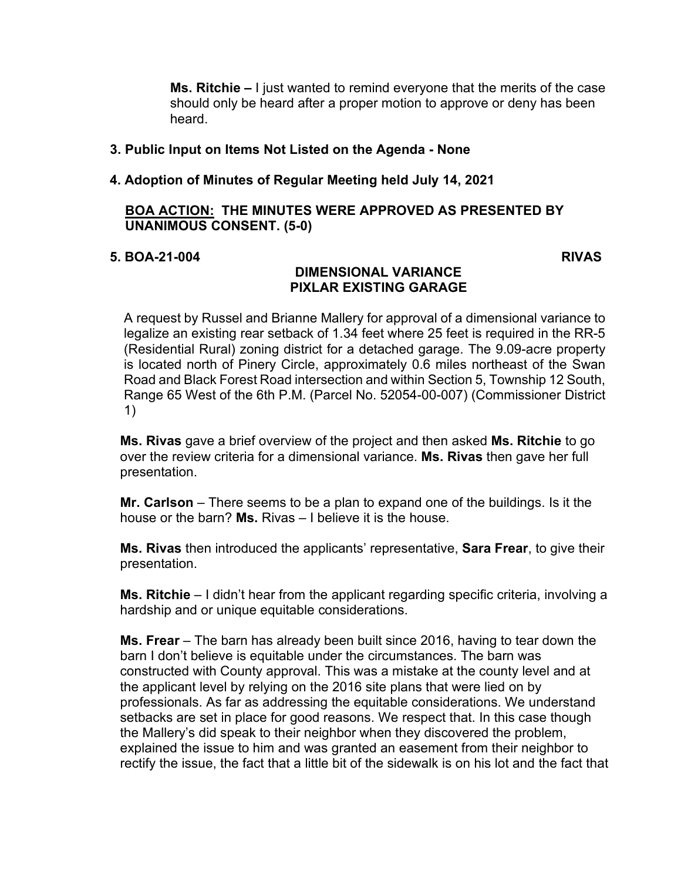**Ms. Ritchie –** I just wanted to remind everyone that the merits of the case should only be heard after a proper motion to approve or deny has been heard.

### **3. Public Input on Items Not Listed on the Agenda - None**

### **4. Adoption of Minutes of Regular Meeting held July 14, 2021**

### **BOA ACTION: THE MINUTES WERE APPROVED AS PRESENTED BY UNANIMOUS CONSENT. (5-0)**

### **5. BOA-21-004 RIVAS**

### **DIMENSIONAL VARIANCE PIXLAR EXISTING GARAGE**

A request by Russel and Brianne Mallery for approval of a dimensional variance to legalize an existing rear setback of 1.34 feet where 25 feet is required in the RR-5 (Residential Rural) zoning district for a detached garage. The 9.09-acre property is located north of Pinery Circle, approximately 0.6 miles northeast of the Swan Road and Black Forest Road intersection and within Section 5, Township 12 South, Range 65 West of the 6th P.M. (Parcel No. 52054-00-007) (Commissioner District 1)

**Ms. Rivas** gave a brief overview of the project and then asked **Ms. Ritchie** to go over the review criteria for a dimensional variance. **Ms. Rivas** then gave her full presentation.

**Mr. Carlson** – There seems to be a plan to expand one of the buildings. Is it the house or the barn? **Ms.** Rivas – I believe it is the house.

**Ms. Rivas** then introduced the applicants' representative, **Sara Frear**, to give their presentation.

**Ms. Ritchie** – I didn't hear from the applicant regarding specific criteria, involving a hardship and or unique equitable considerations.

**Ms. Frear** – The barn has already been built since 2016, having to tear down the barn I don't believe is equitable under the circumstances. The barn was constructed with County approval. This was a mistake at the county level and at the applicant level by relying on the 2016 site plans that were lied on by professionals. As far as addressing the equitable considerations. We understand setbacks are set in place for good reasons. We respect that. In this case though the Mallery's did speak to their neighbor when they discovered the problem, explained the issue to him and was granted an easement from their neighbor to rectify the issue, the fact that a little bit of the sidewalk is on his lot and the fact that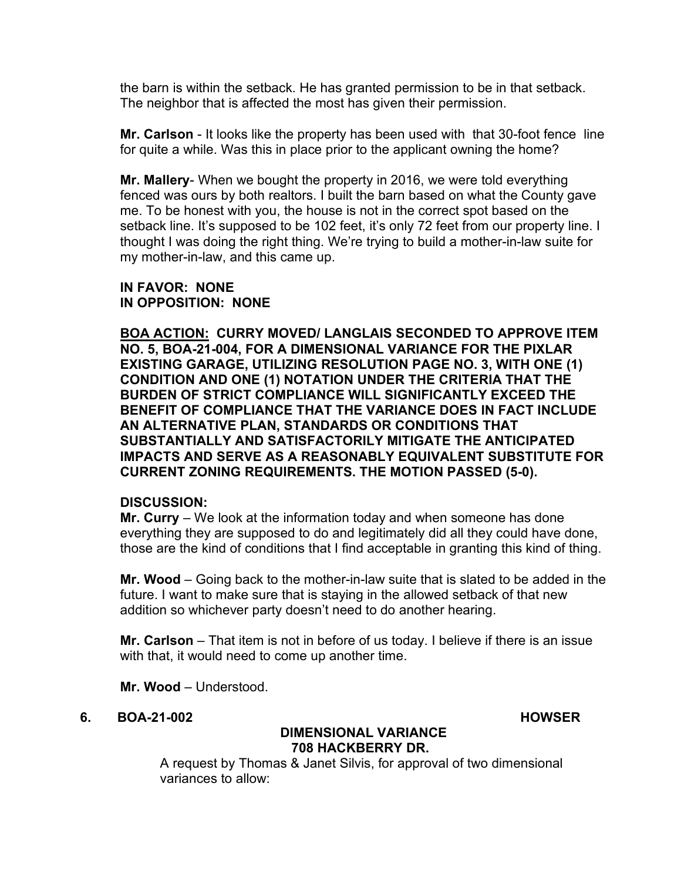the barn is within the setback. He has granted permission to be in that setback. The neighbor that is affected the most has given their permission.

**Mr. Carlson** - It looks like the property has been used with that 30-foot fence line for quite a while. Was this in place prior to the applicant owning the home?

**Mr. Mallery**- When we bought the property in 2016, we were told everything fenced was ours by both realtors. I built the barn based on what the County gave me. To be honest with you, the house is not in the correct spot based on the setback line. It's supposed to be 102 feet, it's only 72 feet from our property line. I thought I was doing the right thing. We're trying to build a mother-in-law suite for my mother-in-law, and this came up.

### **IN FAVOR: NONE IN OPPOSITION: NONE**

**BOA ACTION: CURRY MOVED/ LANGLAIS SECONDED TO APPROVE ITEM NO. 5, BOA-21-004, FOR A DIMENSIONAL VARIANCE FOR THE PIXLAR EXISTING GARAGE, UTILIZING RESOLUTION PAGE NO. 3, WITH ONE (1) CONDITION AND ONE (1) NOTATION UNDER THE CRITERIA THAT THE BURDEN OF STRICT COMPLIANCE WILL SIGNIFICANTLY EXCEED THE BENEFIT OF COMPLIANCE THAT THE VARIANCE DOES IN FACT INCLUDE AN ALTERNATIVE PLAN, STANDARDS OR CONDITIONS THAT SUBSTANTIALLY AND SATISFACTORILY MITIGATE THE ANTICIPATED IMPACTS AND SERVE AS A REASONABLY EQUIVALENT SUBSTITUTE FOR CURRENT ZONING REQUIREMENTS. THE MOTION PASSED (5-0).** 

### **DISCUSSION:**

**Mr. Curry** – We look at the information today and when someone has done everything they are supposed to do and legitimately did all they could have done, those are the kind of conditions that I find acceptable in granting this kind of thing.

**Mr. Wood** – Going back to the mother-in-law suite that is slated to be added in the future. I want to make sure that is staying in the allowed setback of that new addition so whichever party doesn't need to do another hearing.

**Mr. Carlson** – That item is not in before of us today. I believe if there is an issue with that, it would need to come up another time.

**Mr. Wood** – Understood.

**6. BOA-21-002 HOWSER** 

## **DIMENSIONAL VARIANCE 708 HACKBERRY DR.**

A request by Thomas & Janet Silvis, for approval of two dimensional variances to allow: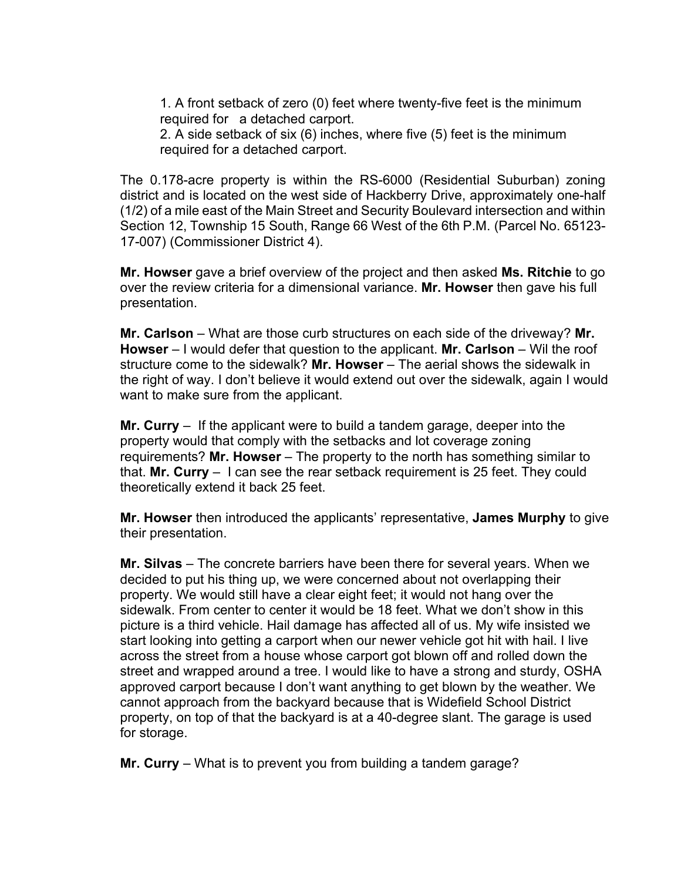1. A front setback of zero (0) feet where twenty-five feet is the minimum required for a detached carport.

2. A side setback of six (6) inches, where five (5) feet is the minimum required for a detached carport.

The 0.178-acre property is within the RS-6000 (Residential Suburban) zoning district and is located on the west side of Hackberry Drive, approximately one-half (1/2) of a mile east of the Main Street and Security Boulevard intersection and within Section 12, Township 15 South, Range 66 West of the 6th P.M. (Parcel No. 65123- 17-007) (Commissioner District 4).

**Mr. Howser** gave a brief overview of the project and then asked **Ms. Ritchie** to go over the review criteria for a dimensional variance. **Mr. Howser** then gave his full presentation.

**Mr. Carlson** – What are those curb structures on each side of the driveway? **Mr. Howser** – I would defer that question to the applicant. Mr. Carlson – Wil the roof structure come to the sidewalk? **Mr. Howser** – The aerial shows the sidewalk in the right of way. I don't believe it would extend out over the sidewalk, again I would want to make sure from the applicant.

**Mr. Curry** – If the applicant were to build a tandem garage, deeper into the property would that comply with the setbacks and lot coverage zoning requirements? **Mr. Howser** – The property to the north has something similar to that. **Mr. Curry** – I can see the rear setback requirement is 25 feet. They could theoretically extend it back 25 feet.

**Mr. Howser** then introduced the applicants' representative, **James Murphy** to give their presentation.

**Mr. Silvas** – The concrete barriers have been there for several years. When we decided to put his thing up, we were concerned about not overlapping their property. We would still have a clear eight feet; it would not hang over the sidewalk. From center to center it would be 18 feet. What we don't show in this picture is a third vehicle. Hail damage has affected all of us. My wife insisted we start looking into getting a carport when our newer vehicle got hit with hail. I live across the street from a house whose carport got blown off and rolled down the street and wrapped around a tree. I would like to have a strong and sturdy, OSHA approved carport because I don't want anything to get blown by the weather. We cannot approach from the backyard because that is Widefield School District property, on top of that the backyard is at a 40-degree slant. The garage is used for storage.

**Mr. Curry** – What is to prevent you from building a tandem garage?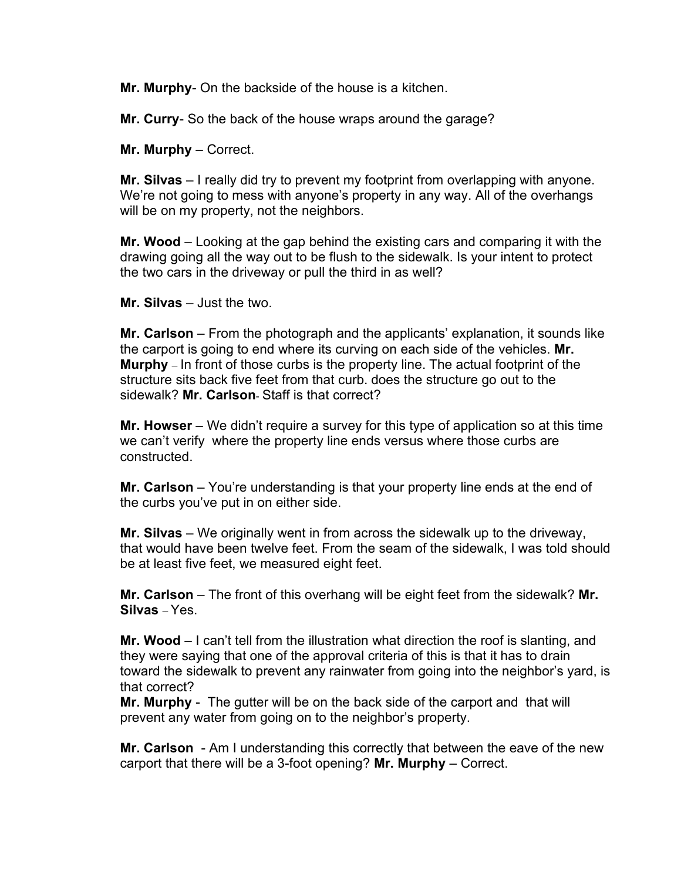**Mr. Murphy**- On the backside of the house is a kitchen.

**Mr. Curry**- So the back of the house wraps around the garage?

**Mr. Murphy** – Correct.

**Mr. Silvas** – I really did try to prevent my footprint from overlapping with anyone. We're not going to mess with anyone's property in any way. All of the overhangs will be on my property, not the neighbors.

**Mr. Wood** – Looking at the gap behind the existing cars and comparing it with the drawing going all the way out to be flush to the sidewalk. Is your intent to protect the two cars in the driveway or pull the third in as well?

**Mr. Silvas** – Just the two.

**Mr. Carlson** – From the photograph and the applicants' explanation, it sounds like the carport is going to end where its curving on each side of the vehicles. **Mr. Murphy** – In front of those curbs is the property line. The actual footprint of the structure sits back five feet from that curb. does the structure go out to the sidewalk? **Mr. Carlson**- Staff is that correct?

**Mr. Howser** – We didn't require a survey for this type of application so at this time we can't verify where the property line ends versus where those curbs are constructed.

**Mr. Carlson** – You're understanding is that your property line ends at the end of the curbs you've put in on either side.

**Mr. Silvas** – We originally went in from across the sidewalk up to the driveway, that would have been twelve feet. From the seam of the sidewalk, I was told should be at least five feet, we measured eight feet.

**Mr. Carlson** – The front of this overhang will be eight feet from the sidewalk? **Mr. Silvas** – Yes.

**Mr. Wood** – I can't tell from the illustration what direction the roof is slanting, and they were saying that one of the approval criteria of this is that it has to drain toward the sidewalk to prevent any rainwater from going into the neighbor's yard, is that correct?

**Mr. Murphy** - The gutter will be on the back side of the carport and that will prevent any water from going on to the neighbor's property.

**Mr. Carlson** - Am I understanding this correctly that between the eave of the new carport that there will be a 3-foot opening? **Mr. Murphy** – Correct.